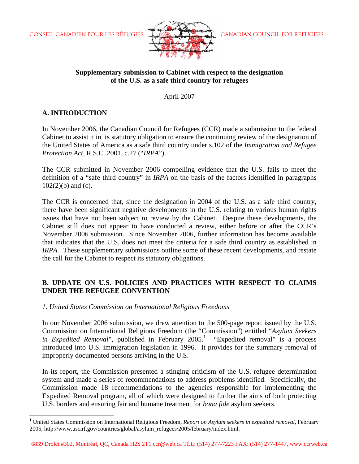

### **Supplementary submission to Cabinet with respect to the designation of the U.S. as a safe third country for refugees**

April 2007

# **A. INTRODUCTION**

 $\overline{a}$ 

In November 2006, the Canadian Council for Refugees (CCR) made a submission to the federal Cabinet to assist it in its statutory obligation to ensure the continuing review of the designation of the United States of America as a safe third country under s.102 of the *Immigration and Refugee Protection Act,* R.S.C. 2001, c.27 ("*IRPA*").

The CCR submitted in November 2006 compelling evidence that the U.S. fails to meet the definition of a "safe third country" in *IRPA* on the basis of the factors identified in paragraphs  $102(2)(b)$  and (c).

The CCR is concerned that, since the designation in 2004 of the U.S. as a safe third country, there have been significant negative developments in the U.S. relating to various human rights issues that have not been subject to review by the Cabinet. Despite these developments, the Cabinet still does not appear to have conducted a review, either before or after the CCR's November 2006 submission. Since November 2006, further information has become available that indicates that the U.S. does not meet the criteria for a safe third country as established in *IRPA*. These supplementary submissions outline some of these recent developments, and restate the call for the Cabinet to respect its statutory obligations.

# **B. UPDATE ON U.S. POLICIES AND PRACTICES WITH RESPECT TO CLAIMS UNDER THE REFUGEE CONVENTION**

*1. United States Commission on International Religious Freedoms* 

In our November 2006 submission, we drew attention to the 500-page report issued by the U.S. Commission on International Religious Freedom (the "Commission") entitled "*Asylum Seekers*  in *Expedited Removal*", published in February  $2005$ .<sup>1</sup> "Expedited removal" is a process introduced into U.S. immigration legislation in 1996. It provides for the summary removal of improperly documented persons arriving in the U.S.

In its report, the Commission presented a stinging criticism of the U.S. refugee determination system and made a series of recommendations to address problems identified. Specifically, the Commission made 18 recommendations to the agencies responsible for implementing the Expedited Removal program, all of which were designed to further the aims of both protecting U.S. borders and ensuring fair and humane treatment for *bona fide* asylum seekers.

<sup>&</sup>lt;sup>1</sup> United States Commission on International Religious Freedom, *Report on Asylum seekers in expedited removal*, February 2005, http://www.uscirf.gov/countries/global/asylum\_refugees/2005/february/index.html.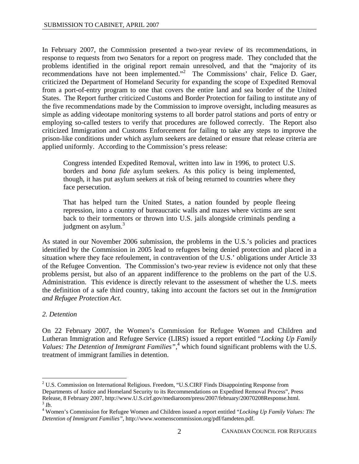In February 2007, the Commission presented a two-year review of its recommendations, in response to requests from two Senators for a report on progress made. They concluded that the problems identified in the original report remain unresolved, and that the "majority of its recommendations have not been implemented."<sup>2</sup> The Commissions' chair, Felice D. Gaer, criticized the Department of Homeland Security for expanding the scope of Expedited Removal from a port-of-entry program to one that covers the entire land and sea border of the United States. The Report further criticized Customs and Border Protection for failing to institute any of the five recommendations made by the Commission to improve oversight, including measures as simple as adding videotape monitoring systems to all border patrol stations and ports of entry or employing so-called testers to verify that procedures are followed correctly. The Report also criticized Immigration and Customs Enforcement for failing to take any steps to improve the prison-like conditions under which asylum seekers are detained or ensure that release criteria are applied uniformly. According to the Commission's press release:

Congress intended Expedited Removal, written into law in 1996, to protect U.S. borders and *bona fide* asylum seekers. As this policy is being implemented, though, it has put asylum seekers at risk of being returned to countries where they face persecution.

That has helped turn the United States, a nation founded by people fleeing repression, into a country of bureaucratic walls and mazes where victims are sent back to their tormentors or thrown into U.S. jails alongside criminals pending a judgment on asylum. $3$ 

As stated in our November 2006 submission, the problems in the U.S.'s policies and practices identified by the Commission in 2005 lead to refugees being denied protection and placed in a situation where they face refoulement, in contravention of the U.S.' obligations under Article 33 of the Refugee Convention. The Commission's two-year review is evidence not only that these problems persist, but also of an apparent indifference to the problems on the part of the U.S. Administration. This evidence is directly relevant to the assessment of whether the U.S. meets the definition of a safe third country, taking into account the factors set out in the *Immigration and Refugee Protection Act*.

# *2. Detention*

1

On 22 February 2007, the Women's Commission for Refugee Women and Children and Lutheran Immigration and Refugee Service (LIRS) issued a report entitled "*Locking Up Family*  Values: The Detention of Immigrant Families",<sup>4</sup> which found significant problems with the U.S. treatment of immigrant families in detention.

 $2^2$  U.S. Commission on International Religious. Freedom, "U.S.CIRF Finds Disappointing Response from Departments of Justice and Homeland Security to its Recommendations on Expedited Removal Process", Press Release, 8 February 2007, http://www.U.S.cirf.gov/mediaroom/press/2007/february/20070208Response.html. 3 *Ib.* 

<sup>4</sup> Women's Commission for Refugee Women and Children issued a report entitled "*Locking Up Family Values: The Detention of Immigrant Families"*, http://www.womenscommission.org/pdf/famdeten.pdf.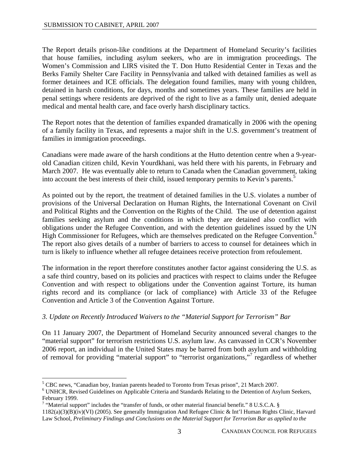The Report details prison-like conditions at the Department of Homeland Security's facilities that house families, including asylum seekers, who are in immigration proceedings. The Women's Commission and LIRS visited the T. Don Hutto Residential Center in Texas and the Berks Family Shelter Care Facility in Pennsylvania and talked with detained families as well as former detainees and ICE officials. The delegation found families, many with young children, detained in harsh conditions, for days, months and sometimes years. These families are held in penal settings where residents are deprived of the right to live as a family unit, denied adequate medical and mental health care, and face overly harsh disciplinary tactics.

The Report notes that the detention of families expanded dramatically in 2006 with the opening of a family facility in Texas, and represents a major shift in the U.S. government's treatment of families in immigration proceedings.

Canadians were made aware of the harsh conditions at the Hutto detention centre when a 9-yearold Canadian citizen child, Kevin Yourdkhani, was held there with his parents, in February and March 2007. He was eventually able to return to Canada when the Canadian government, taking into account the best interests of their child, issued temporary permits to Kevin's parents.<sup>5</sup>

As pointed out by the report, the treatment of detained families in the U.S. violates a number of provisions of the Universal Declaration on Human Rights, the International Covenant on Civil and Political Rights and the Convention on the Rights of the Child. The use of detention against families seeking asylum and the conditions in which they are detained also conflict with obligations under the Refugee Convention, and with the detention guidelines issued by the UN High Commissioner for Refugees, which are themselves predicated on the Refugee Convention.<sup>6</sup> The report also gives details of a number of barriers to access to counsel for detainees which in turn is likely to influence whether all refugee detainees receive protection from refoulement.

The information in the report therefore constitutes another factor against considering the U.S. as a safe third country, based on its policies and practices with respect to claims under the Refugee Convention and with respect to obligations under the Convention against Torture, its human rights record and its compliance (or lack of compliance) with Article 33 of the Refugee Convention and Article 3 of the Convention Against Torture.

#### *3. Update on Recently Introduced Waivers to the "Material Support for Terrorism" Bar*

On 11 January 2007, the Department of Homeland Security announced several changes to the "material support" for terrorism restrictions U.S. asylum law. As canvassed in CCR's November 2006 report, an individual in the United States may be barred from both asylum and withholding of removal for providing "material support" to "terrorist organizations,"<sup>7</sup> regardless of whether

 $\overline{a}$ 

<sup>&</sup>lt;sup>5</sup> CBC news, "Canadian boy, Iranian parents headed to Toronto from Texas prison", 21 March 2007.

<sup>&</sup>lt;sup>6</sup> UNHCR, Revised Guidelines on Applicable Criteria and Standards Relating to the Detention of Asylum Seekers, February 1999.

<sup>&</sup>lt;sup>7</sup> "Material support" includes the "transfer of funds, or other material financial benefit." 8 U.S.C.A. §

<sup>1182(</sup>a)(3)(B)(iv)(VI) (2005). See generally Immigration And Refugee Clinic & Int'l Human Rights Clinic, Harvard Law School, *Preliminary Findings and Conclusions on the Material Support for Terrorism Bar as applied to the*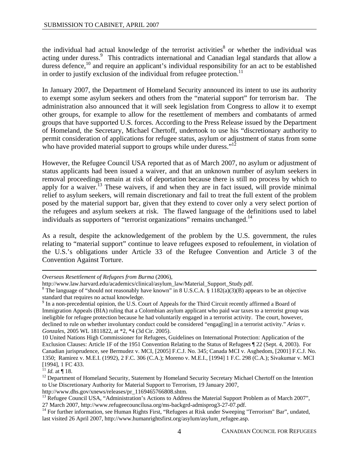the individual had actual knowledge of the terrorist activities<sup>8</sup> or whether the individual was acting under duress.<sup>9</sup> This contradicts international and Canadian legal standards that allow a duress defence,<sup>10</sup> and require an applicant's individual responsibility for an act to be established in order to justify exclusion of the individual from refugee protection.<sup>11</sup>

In January 2007, the Department of Homeland Security announced its intent to use its authority to exempt some asylum seekers and others from the "material support" for terrorism bar. The administration also announced that it will seek legislation from Congress to allow it to exempt other groups, for example to allow for the resettlement of members and combatants of armed groups that have supported U.S. forces. According to the Press Release issued by the Department of Homeland, the Secretary, Michael Chertoff, undertook to use his "discretionary authority to permit consideration of applications for refugee status, asylum or adjustment of status from some who have provided material support to groups while under duress."<sup>12</sup>

However, the Refugee Council USA reported that as of March 2007, no asylum or adjustment of status applicants had been issued a waiver, and that an unknown number of asylum seekers in removal proceedings remain at risk of deportation because there is still no process by which to apply for a waiver.<sup>13</sup> These waivers, if and when they are in fact issued, will provide minimal relief to asylum seekers, will remain discretionary and fail to treat the full extent of the problem posed by the material support bar, given that they extend to cover only a very select portion of the refugees and asylum seekers at risk. The flawed language of the definitions used to label individuals as supporters of "terrorist organizations" remains unchanged.<sup>14</sup>

As a result, despite the acknowledgement of the problem by the U.S. government, the rules relating to "material support" continue to leave refugees exposed to refoulement, in violation of the U.S.'s obligations under Article 33 of the Refugee Convention and Article 3 of the Convention Against Torture.

*Overseas Resettlement of Refugees from Burma* (2006),

10 United Nations High Commissioner for Refugees, Guidelines on International Protection: Application of the Exclusion Clauses: Article 1F of the 1951 Convention Relating to the Status of Refugees ¶ 22 (Sept. 4, 2003). For Canadian jurisprudence, see Bermudez v. MCI, [2005] F.C.J. No. 345; Canada MCI v. Asghedom, [2001] F.C.J. No. 1350; Ramirez v. M.E.I. (1992), 2 F.C. 306 (C.A.); Moreno v. M.E.I., [1994] 1 F.C. 298 (C.A.); Sivakumar v. MCI [1994], 1 FC 433.<br> $^{11}$  *Id.* at ¶ 18.

 $\overline{a}$ 

http://www.law.harvard.edu/academics/clinical/asylum\_law/Material\_Support\_Study.pdf. 8

<sup>&</sup>lt;sup>8</sup> The language of "should not reasonably have known" in 8 U.S.C.A. § 1182(a)(3)(B) appears to be an objective standard that requires no actual knowledge.

<sup>&</sup>lt;sup>9</sup> In a non-precedential opinion, the U.S. Court of Appeals for the Third Circuit recently affirmed a Board of Immigration Appeals (BIA) ruling that a Colombian asylum applicant who paid war taxes to a terrorist group was ineligible for refugee protection because he had voluntarily engaged in a terrorist activity. The court, however, declined to rule on whether involuntary conduct could be considered "engag[ing] in a terrorist activity." *Arias v. Gonzales*, 2005 WL 1811822, at \*2, \*4 (3d Cir. 2005).

<sup>&</sup>lt;sup>12</sup> Department of Homeland Security, Statement by Homeland Security Secretary Michael Chertoff on the Intention to Use Discretionary Authority for Material Support to Terrorism, 19 January 2007,

http://www.dhs.gov/xnews/releases/pr\_1169465766808.shtm.<br><sup>13</sup> Refugee Council USA, "Administration's Actions to Address the Material Support Problem as of March 2007",<br>27 March 2007, http://www.refugeecouncilusa.org/ms-bac

<sup>&</sup>lt;sup>14</sup> For further information, see Human Rights First, "Refugees at Risk under Sweeping "Terrorism" Bar", undated, last visited 26 April 2007, http://www.humanrightsfirst.org/asylum/asylum\_refugee.asp.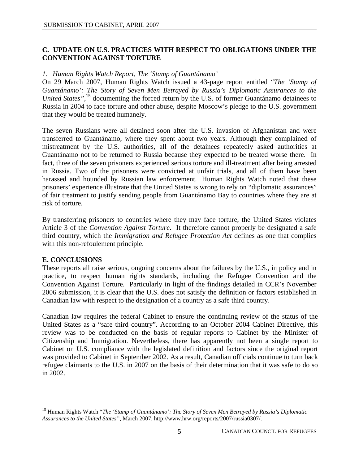# **C. UPDATE ON U.S. PRACTICES WITH RESPECT TO OBLIGATIONS UNDER THE CONVENTION AGAINST TORTURE**

### *1. Human Rights Watch Report, The 'Stamp of Guantánamo'*

On 29 March 2007, Human Rights Watch issued a 43-page report entitled "*The 'Stamp of Guantánamo': The Story of Seven Men Betrayed by Russia's Diplomatic Assurances to the*  United States",<sup>15</sup> documenting the forced return by the U.S. of former Guantánamo detainees to Russia in 2004 to face torture and other abuse, despite Moscow's pledge to the U.S. government that they would be treated humanely.

The seven Russians were all detained soon after the U.S. invasion of Afghanistan and were transferred to Guantánamo, where they spent about two years. Although they complained of mistreatment by the U.S. authorities, all of the detainees repeatedly asked authorities at Guantánamo not to be returned to Russia because they expected to be treated worse there. In fact, three of the seven prisoners experienced serious torture and ill-treatment after being arrested in Russia. Two of the prisoners were convicted at unfair trials, and all of them have been harassed and hounded by Russian law enforcement. Human Rights Watch noted that these prisoners' experience illustrate that the United States is wrong to rely on "diplomatic assurances" of fair treatment to justify sending people from Guantánamo Bay to countries where they are at risk of torture.

By transferring prisoners to countries where they may face torture, the United States violates Article 3 of the *Convention Against Torture*. It therefore cannot properly be designated a safe third country, which the *Immigration and Refugee Protection Act* defines as one that complies with this non-refoulement principle.

# **E. CONCLUSIONS**

 $\overline{a}$ 

These reports all raise serious, ongoing concerns about the failures by the U.S., in policy and in practice, to respect human rights standards, including the Refugee Convention and the Convention Against Torture. Particularly in light of the findings detailed in CCR's November 2006 submission, it is clear that the U.S. does not satisfy the definition or factors established in Canadian law with respect to the designation of a country as a safe third country.

Canadian law requires the federal Cabinet to ensure the continuing review of the status of the United States as a "safe third country". According to an October 2004 Cabinet Directive, this review was to be conducted on the basis of regular reports to Cabinet by the Minister of Citizenship and Immigration. Nevertheless, there has apparently not been a single report to Cabinet on U.S. compliance with the legislated definition and factors since the original report was provided to Cabinet in September 2002. As a result, Canadian officials continue to turn back refugee claimants to the U.S. in 2007 on the basis of their determination that it was safe to do so in 2002.

<sup>15</sup> Human Rights Watch "*The 'Stamp of Guantánamo': The Story of Seven Men Betrayed by Russia's Diplomatic Assurances to the United States",* March 2007, http://www.hrw.org/reports/2007/russia0307/.